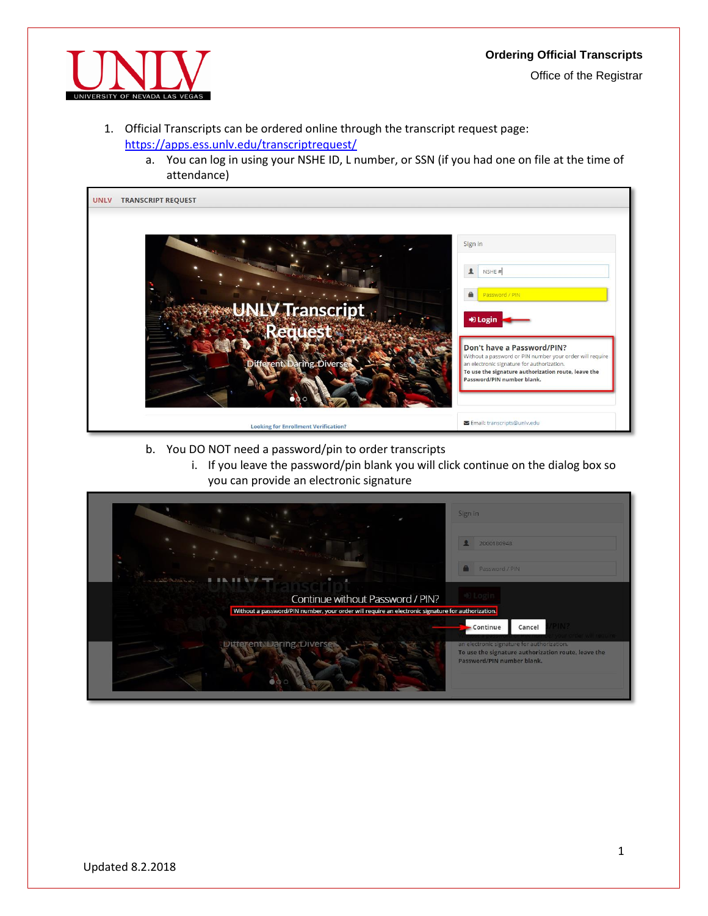## **Ordering Official Transcripts**





- 1. Official Transcripts can be ordered online through the transcript request page: <https://apps.ess.unlv.edu/transcriptrequest/>
	- a. You can log in using your NSHE ID, L number, or SSN (if you had one on file at the time of attendance)

| <b>UNLV</b> | <b>TRANSCRIPT REQUEST</b>                            |                                                                                                                                                                                                                                                                                                 |
|-------------|------------------------------------------------------|-------------------------------------------------------------------------------------------------------------------------------------------------------------------------------------------------------------------------------------------------------------------------------------------------|
|             | <b>UNLV Transcript</b><br>Different. Daring. Diverse | Sign in<br>NSHE#<br>主<br>$\mathbf{a}$<br>Password / PIN<br>+ Login<br>Don't have a Password/PIN?<br>Without a password or PIN number your order will require<br>an electronic signature for authorization.<br>To use the signature authorization route, leave the<br>Password/PIN number blank. |
|             | <b>Looking for Enrollment Verification?</b>          | Email: transcripts@unlv.edu                                                                                                                                                                                                                                                                     |

- b. You DO NOT need a password/pin to order transcripts
	- i. If you leave the password/pin blank you will click continue on the dialog box so you can provide an electronic signature

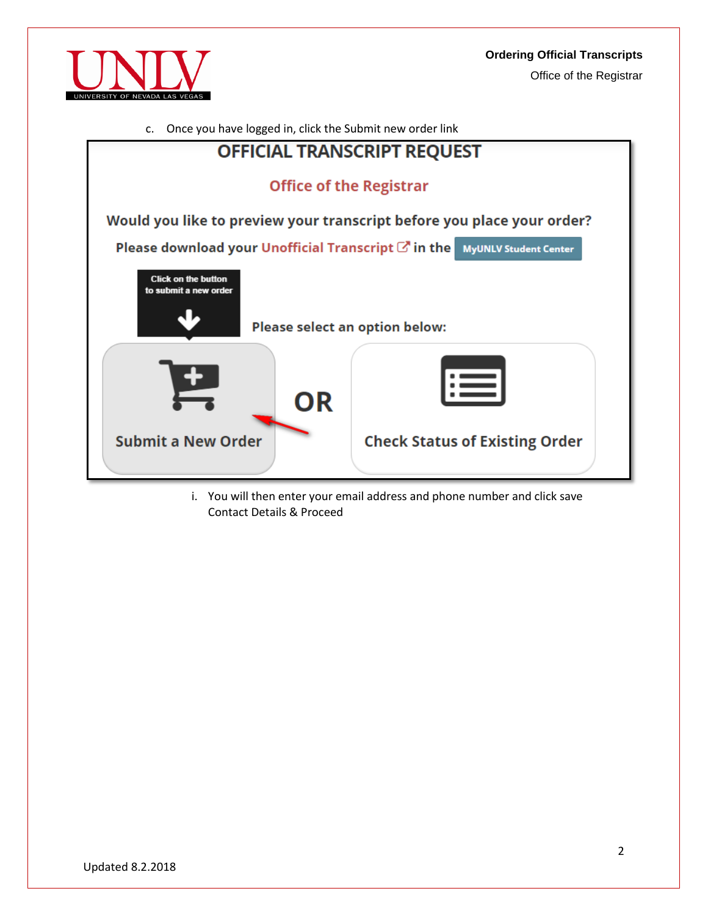





i. You will then enter your email address and phone number and click save Contact Details & Proceed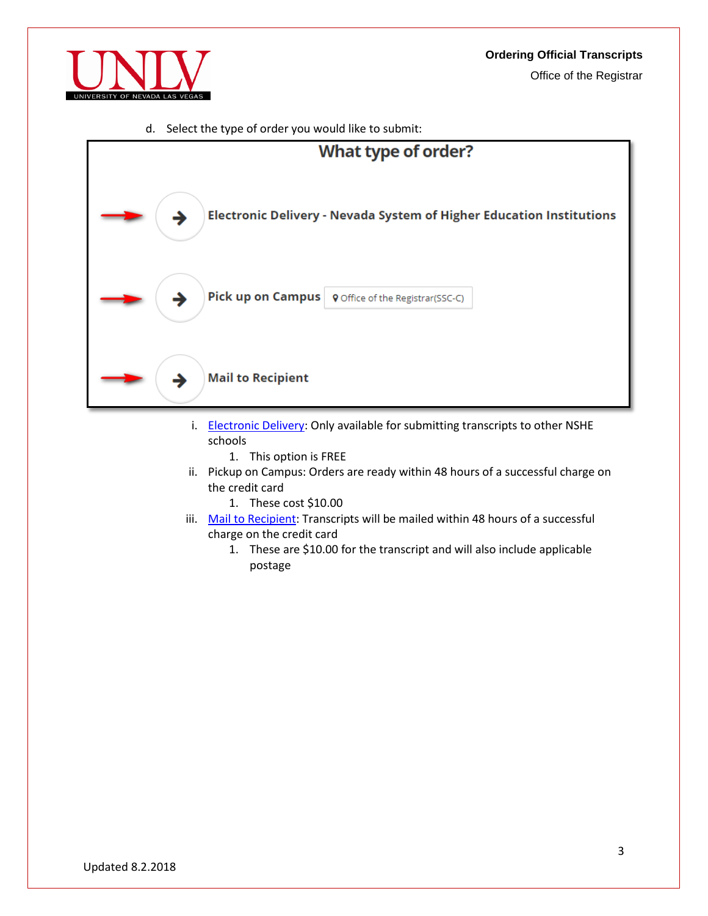

d. Select the type of order you would like to submit:



- i. [Electronic Delivery:](#page-3-0) Only available for submitting transcripts to other NSHE schools
	- 1. This option is FREE
- ii. Pickup on Campus: Orders are ready within 48 hours of a successful charge on the credit card
	- 1. These cost \$10.00
- iii. [Mail to Recipient:](#page-4-0) Transcripts will be mailed within 48 hours of a successful charge on the credit card
	- 1. These are \$10.00 for the transcript and will also include applicable postage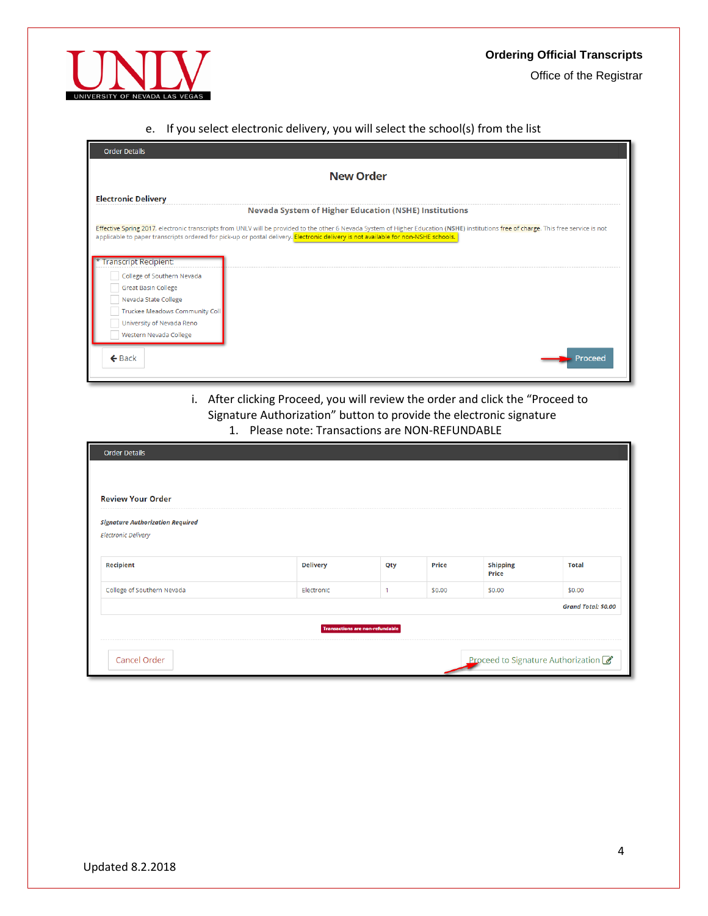

Office of the Registrar

## <span id="page-3-0"></span>e. If you select electronic delivery, you will select the school(s) from the list

| <b>Order Details</b>                                         |                                                                                                                                                                                                                                                                                                                              |  |  |  |  |  |
|--------------------------------------------------------------|------------------------------------------------------------------------------------------------------------------------------------------------------------------------------------------------------------------------------------------------------------------------------------------------------------------------------|--|--|--|--|--|
| <b>New Order</b>                                             |                                                                                                                                                                                                                                                                                                                              |  |  |  |  |  |
| <b>Electronic Delivery</b>                                   |                                                                                                                                                                                                                                                                                                                              |  |  |  |  |  |
| <b>Nevada System of Higher Education (NSHE) Institutions</b> |                                                                                                                                                                                                                                                                                                                              |  |  |  |  |  |
|                                                              | Effective Spring 2017, electronic transcripts from UNLV will be provided to the other 6 Nevada System of Higher Education (NSHE) institutions free of charge. This free service is not<br>applicable to paper transcripts ordered for pick-up or postal delivery. Electronic delivery is not available for non-NSHE schools. |  |  |  |  |  |
| * Transcript Recipient:                                      |                                                                                                                                                                                                                                                                                                                              |  |  |  |  |  |
| College of Southern Nevada                                   |                                                                                                                                                                                                                                                                                                                              |  |  |  |  |  |
| <b>Great Basin College</b>                                   |                                                                                                                                                                                                                                                                                                                              |  |  |  |  |  |
| Nevada State College                                         |                                                                                                                                                                                                                                                                                                                              |  |  |  |  |  |
| Truckee Meadows Community Coll                               |                                                                                                                                                                                                                                                                                                                              |  |  |  |  |  |
| University of Nevada Reno                                    |                                                                                                                                                                                                                                                                                                                              |  |  |  |  |  |
| Western Nevada College                                       |                                                                                                                                                                                                                                                                                                                              |  |  |  |  |  |
| $\leftarrow$ Back                                            | Proceed                                                                                                                                                                                                                                                                                                                      |  |  |  |  |  |

## i. After clicking Proceed, you will review the order and click the "Proceed to Signature Authorization" button to provide the electronic signature

1. Please note: Transactions are NON-REFUNDABLE

| <b>Order Details</b>                    |                 |              |              |                          |                                      |  |
|-----------------------------------------|-----------------|--------------|--------------|--------------------------|--------------------------------------|--|
|                                         |                 |              |              |                          |                                      |  |
| <b>Review Your Order</b>                |                 |              |              |                          |                                      |  |
| <b>Signature Authorization Required</b> |                 |              |              |                          |                                      |  |
| <b>Electronic Delivery</b>              |                 |              |              |                          |                                      |  |
| <b>Recipient</b>                        | <b>Delivery</b> | Qty          | <b>Price</b> | <b>Shipping</b><br>Price | <b>Total</b>                         |  |
| College of Southern Nevada              | Electronic      | $\mathbf{1}$ | \$0.00       | \$0.00                   | \$0.00                               |  |
|                                         |                 |              |              |                          | <b>Grand Total: \$0.00</b>           |  |
| <b>Transactions are non-refundable</b>  |                 |              |              |                          |                                      |  |
|                                         |                 |              |              |                          |                                      |  |
| <b>Cancel Order</b>                     |                 |              |              |                          | Proceed to Signature Authorization 8 |  |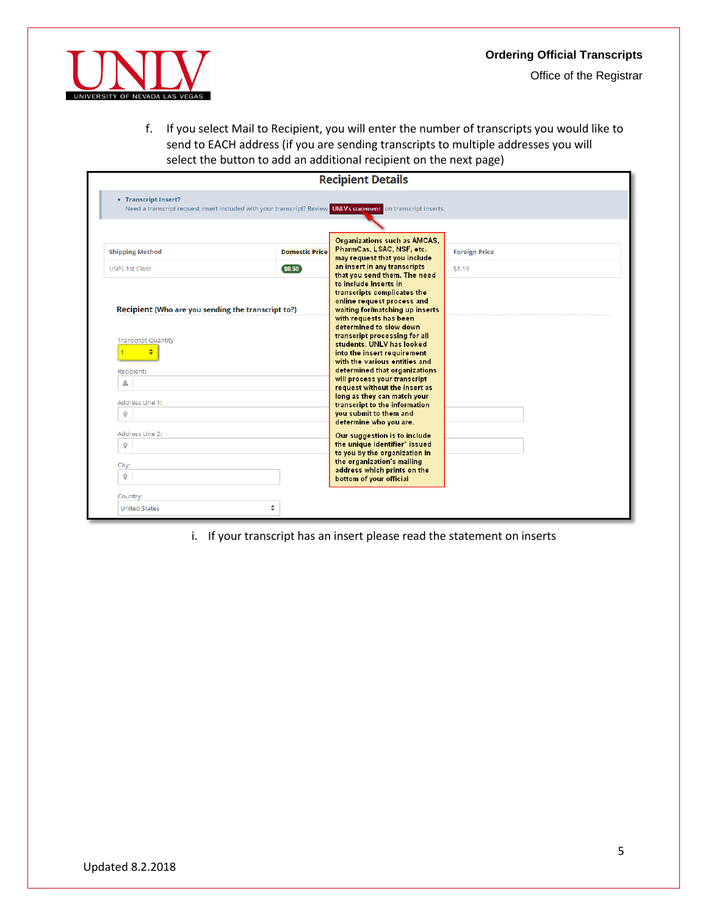

<span id="page-4-0"></span>f. If you select Mail to Recipient, you will enter the number of transcripts you would like to send to EACH address (if you are sending transcripts to multiple addresses you will select the button to add an additional recipient on the next page)

| • Transcript Insert?<br>Need a transcript request insert included with your transcript? Review UNLV's statement on transcript inserts.<br>Organizations such as AMCAS,<br>PharmCas, LSAC, NSF, etc.<br><b>Shipping Method</b><br><b>Domestic Price</b><br><b>Foreign Price</b><br>may request that you include<br>an insert in any transcripts<br>\$0.50<br><b>USPS 1st Class</b><br>\$1.15<br>that you send them. The need<br>to include inserts in<br>transcripts complicates the<br>online request process and<br>Recipient (Who are you sending the transcript to?)<br>waiting for/matching up inserts<br>with requests has been<br>determined to slow down<br>transcript processing for all<br><b>Transcript Quantity</b><br>students. UNLV has looked<br>÷<br>into the insert requirement<br>with the various entities and<br>determined that organizations<br>Recipient:<br>will process your transcript<br>۵<br>request without the insert as<br>long as they can match your<br>Address Line 1:<br>transcript to the information<br>you submit to them and<br>$\mathsf{\Theta}$<br>determine who you are.<br>Address Line 2:<br>Our suggestion is to include<br>the unique identifier* issued<br>$\mathsf{\Theta}$<br>to you by the organization in<br>the organization's mailing<br>City:<br>address which prints on the<br>$\circ$<br>bottom of your official |  |  | <b>Recipient Details</b> |  |
|-------------------------------------------------------------------------------------------------------------------------------------------------------------------------------------------------------------------------------------------------------------------------------------------------------------------------------------------------------------------------------------------------------------------------------------------------------------------------------------------------------------------------------------------------------------------------------------------------------------------------------------------------------------------------------------------------------------------------------------------------------------------------------------------------------------------------------------------------------------------------------------------------------------------------------------------------------------------------------------------------------------------------------------------------------------------------------------------------------------------------------------------------------------------------------------------------------------------------------------------------------------------------------------------------------------------------------------------------------------------------|--|--|--------------------------|--|
|                                                                                                                                                                                                                                                                                                                                                                                                                                                                                                                                                                                                                                                                                                                                                                                                                                                                                                                                                                                                                                                                                                                                                                                                                                                                                                                                                                         |  |  |                          |  |
|                                                                                                                                                                                                                                                                                                                                                                                                                                                                                                                                                                                                                                                                                                                                                                                                                                                                                                                                                                                                                                                                                                                                                                                                                                                                                                                                                                         |  |  |                          |  |
|                                                                                                                                                                                                                                                                                                                                                                                                                                                                                                                                                                                                                                                                                                                                                                                                                                                                                                                                                                                                                                                                                                                                                                                                                                                                                                                                                                         |  |  |                          |  |
|                                                                                                                                                                                                                                                                                                                                                                                                                                                                                                                                                                                                                                                                                                                                                                                                                                                                                                                                                                                                                                                                                                                                                                                                                                                                                                                                                                         |  |  |                          |  |
|                                                                                                                                                                                                                                                                                                                                                                                                                                                                                                                                                                                                                                                                                                                                                                                                                                                                                                                                                                                                                                                                                                                                                                                                                                                                                                                                                                         |  |  |                          |  |

i. If your transcript has an insert please read the statement on inserts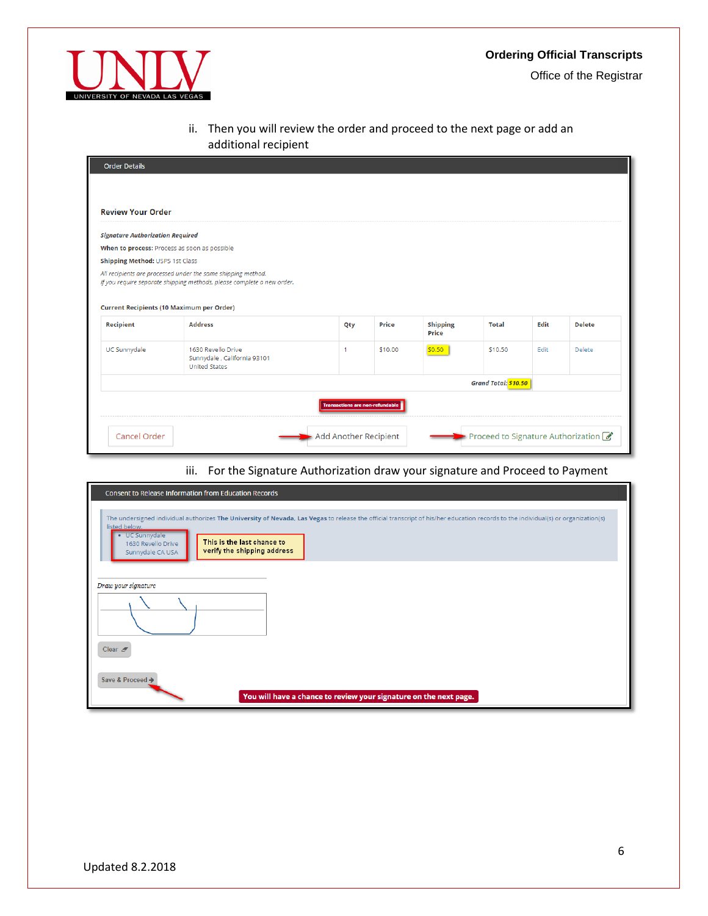



ii. Then you will review the order and proceed to the next page or add an additional recipient

| <b>Review Your Order</b>                |                                                                                                                                                                                            |              |         |                          |              |      |               |
|-----------------------------------------|--------------------------------------------------------------------------------------------------------------------------------------------------------------------------------------------|--------------|---------|--------------------------|--------------|------|---------------|
| <b>Signature Authorization Required</b> |                                                                                                                                                                                            |              |         |                          |              |      |               |
|                                         | When to process: Process as soon as possible                                                                                                                                               |              |         |                          |              |      |               |
| Shipping Method: USPS 1st Class         |                                                                                                                                                                                            |              |         |                          |              |      |               |
|                                         |                                                                                                                                                                                            |              |         |                          |              |      |               |
|                                         | All recipients are processed under the same shipping method.<br>If you require separate shipping methods, please complete a new order.<br><b>Current Recipients (10 Maximum per Order)</b> |              |         |                          |              |      |               |
| <b>Recipient</b>                        | <b>Address</b>                                                                                                                                                                             | Qty          | Price   | <b>Shipping</b><br>Price | <b>Total</b> | Edit | <b>Delete</b> |
| <b>UC Sunnydale</b>                     | 1630 Revello Drive<br>Sunnydale, California 93101<br><b>United States</b>                                                                                                                  | $\mathbf{1}$ | \$10.00 | \$0.50                   | \$10.50      | Edit | Delete        |

## iii. For the Signature Authorization draw your signature and Proceed to Payment

| <b>Consent to Release Information from Education Records</b>                                                                                                                                                                                                                                                                |
|-----------------------------------------------------------------------------------------------------------------------------------------------------------------------------------------------------------------------------------------------------------------------------------------------------------------------------|
| The undersigned individual authorizes The University of Nevada, Las Vegas to release the official transcript of his/her education records to the individual(s) or organization(s)<br>listed below.<br>• UC Sunnydale<br>This is the last chance to<br>1630 Revello Drive<br>verify the shipping address<br>Sunnydale CA USA |
| Draw your signature<br>Clear $\mathscr{F}$                                                                                                                                                                                                                                                                                  |
| Save & Proceed →<br>You will have a chance to review your signature on the next page.                                                                                                                                                                                                                                       |